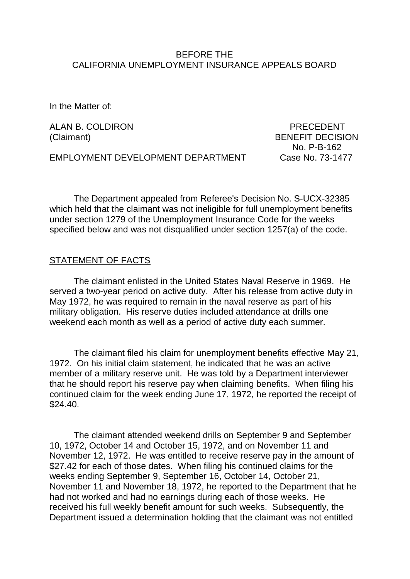#### BEFORE THE CALIFORNIA UNEMPLOYMENT INSURANCE APPEALS BOARD

In the Matter of:

ALAN B. COLDIRON PRECEDENT

(Claimant) BENEFIT DECISION No. P-B-162

EMPLOYMENT DEVELOPMENT DEPARTMENT Case No. 73-1477

The Department appealed from Referee's Decision No. S-UCX-32385 which held that the claimant was not ineligible for full unemployment benefits under section 1279 of the Unemployment Insurance Code for the weeks specified below and was not disqualified under section 1257(a) of the code.

#### STATEMENT OF FACTS

The claimant enlisted in the United States Naval Reserve in 1969. He served a two-year period on active duty. After his release from active duty in May 1972, he was required to remain in the naval reserve as part of his military obligation. His reserve duties included attendance at drills one weekend each month as well as a period of active duty each summer.

The claimant filed his claim for unemployment benefits effective May 21, 1972. On his initial claim statement, he indicated that he was an active member of a military reserve unit. He was told by a Department interviewer that he should report his reserve pay when claiming benefits. When filing his continued claim for the week ending June 17, 1972, he reported the receipt of \$24.40.

The claimant attended weekend drills on September 9 and September 10, 1972, October 14 and October 15, 1972, and on November 11 and November 12, 1972. He was entitled to receive reserve pay in the amount of \$27.42 for each of those dates. When filing his continued claims for the weeks ending September 9, September 16, October 14, October 21, November 11 and November 18, 1972, he reported to the Department that he had not worked and had no earnings during each of those weeks. He received his full weekly benefit amount for such weeks. Subsequently, the Department issued a determination holding that the claimant was not entitled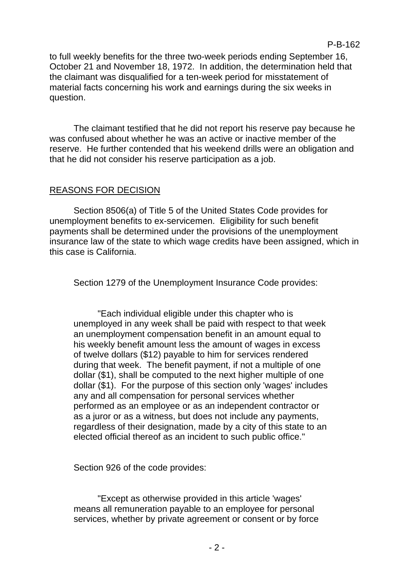to full weekly benefits for the three two-week periods ending September 16, October 21 and November 18, 1972. In addition, the determination held that the claimant was disqualified for a ten-week period for misstatement of material facts concerning his work and earnings during the six weeks in question.

The claimant testified that he did not report his reserve pay because he was confused about whether he was an active or inactive member of the reserve. He further contended that his weekend drills were an obligation and that he did not consider his reserve participation as a job.

## REASONS FOR DECISION

Section 8506(a) of Title 5 of the United States Code provides for unemployment benefits to ex-servicemen. Eligibility for such benefit payments shall be determined under the provisions of the unemployment insurance law of the state to which wage credits have been assigned, which in this case is California.

Section 1279 of the Unemployment Insurance Code provides:

"Each individual eligible under this chapter who is unemployed in any week shall be paid with respect to that week an unemployment compensation benefit in an amount equal to his weekly benefit amount less the amount of wages in excess of twelve dollars (\$12) payable to him for services rendered during that week. The benefit payment, if not a multiple of one dollar (\$1), shall be computed to the next higher multiple of one dollar (\$1). For the purpose of this section only 'wages' includes any and all compensation for personal services whether performed as an employee or as an independent contractor or as a juror or as a witness, but does not include any payments, regardless of their designation, made by a city of this state to an elected official thereof as an incident to such public office."

Section 926 of the code provides:

"Except as otherwise provided in this article 'wages' means all remuneration payable to an employee for personal services, whether by private agreement or consent or by force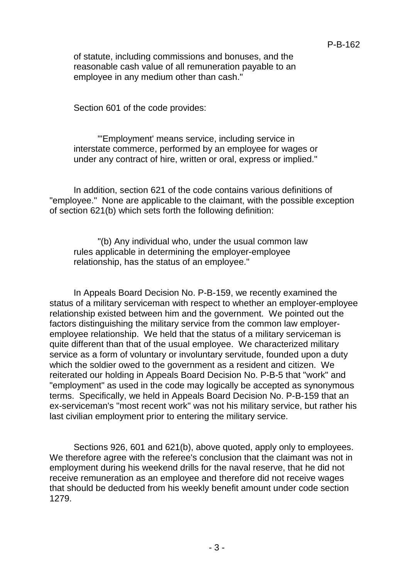of statute, including commissions and bonuses, and the reasonable cash value of all remuneration payable to an employee in any medium other than cash."

Section 601 of the code provides:

"'Employment' means service, including service in interstate commerce, performed by an employee for wages or under any contract of hire, written or oral, express or implied."

In addition, section 621 of the code contains various definitions of "employee." None are applicable to the claimant, with the possible exception of section 621(b) which sets forth the following definition:

"(b) Any individual who, under the usual common law rules applicable in determining the employer-employee relationship, has the status of an employee."

In Appeals Board Decision No. P-B-159, we recently examined the status of a military serviceman with respect to whether an employer-employee relationship existed between him and the government. We pointed out the factors distinguishing the military service from the common law employeremployee relationship. We held that the status of a military serviceman is quite different than that of the usual employee. We characterized military service as a form of voluntary or involuntary servitude, founded upon a duty which the soldier owed to the government as a resident and citizen. We reiterated our holding in Appeals Board Decision No. P-B-5 that "work" and "employment" as used in the code may logically be accepted as synonymous terms. Specifically, we held in Appeals Board Decision No. P-B-159 that an ex-serviceman's "most recent work" was not his military service, but rather his last civilian employment prior to entering the military service.

Sections 926, 601 and 621(b), above quoted, apply only to employees. We therefore agree with the referee's conclusion that the claimant was not in employment during his weekend drills for the naval reserve, that he did not receive remuneration as an employee and therefore did not receive wages that should be deducted from his weekly benefit amount under code section 1279.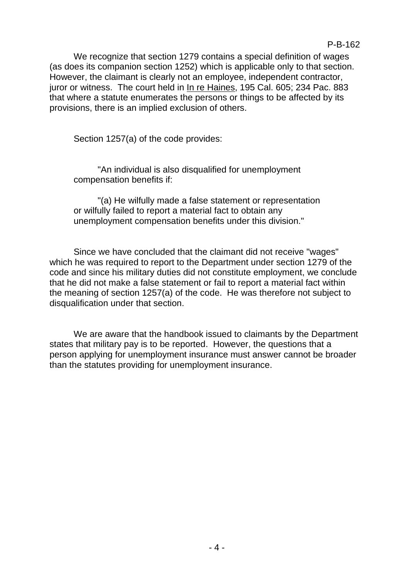We recognize that section 1279 contains a special definition of wages (as does its companion section 1252) which is applicable only to that section. However, the claimant is clearly not an employee, independent contractor, juror or witness. The court held in In re Haines, 195 Cal. 605; 234 Pac. 883 that where a statute enumerates the persons or things to be affected by its provisions, there is an implied exclusion of others.

Section 1257(a) of the code provides:

"An individual is also disqualified for unemployment compensation benefits if:

"(a) He wilfully made a false statement or representation or wilfully failed to report a material fact to obtain any unemployment compensation benefits under this division."

Since we have concluded that the claimant did not receive "wages" which he was required to report to the Department under section 1279 of the code and since his military duties did not constitute employment, we conclude that he did not make a false statement or fail to report a material fact within the meaning of section 1257(a) of the code. He was therefore not subject to disqualification under that section.

We are aware that the handbook issued to claimants by the Department states that military pay is to be reported. However, the questions that a person applying for unemployment insurance must answer cannot be broader than the statutes providing for unemployment insurance.